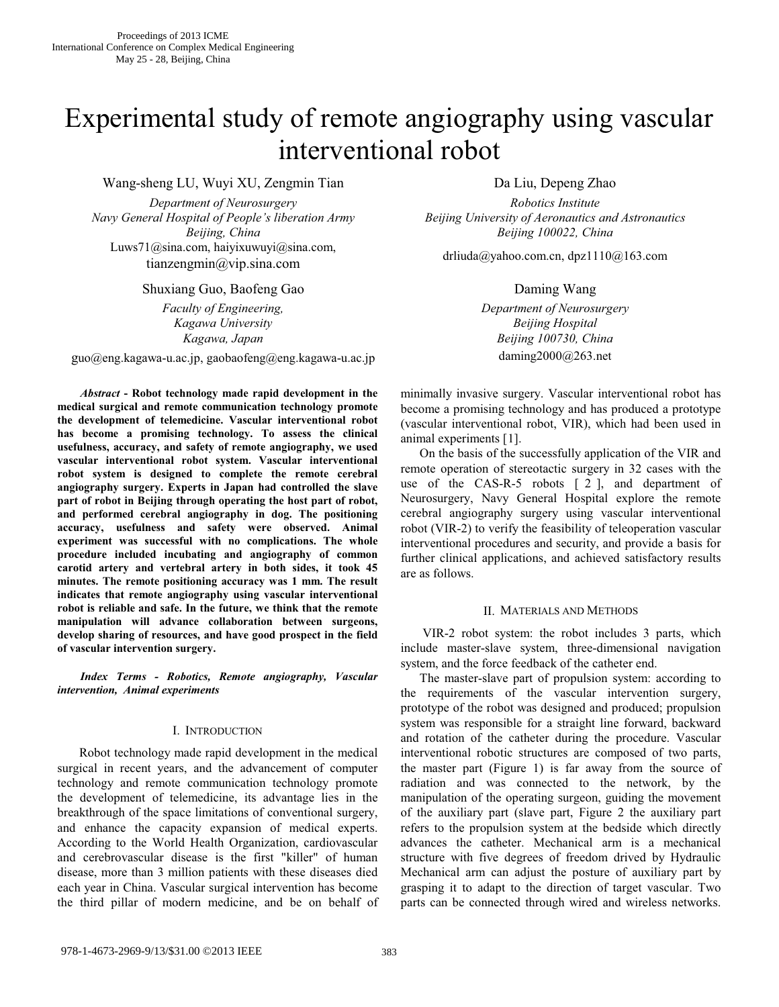# Experimental study of remote angiography using vascular interventional robot

Wang-sheng LU, Wuyi XU, Zengmin Tian Da Liu, Depeng Zhao

*Department of Neurosurgery Robotics Institute Navy General Hospital of People's liberation Army Beijing University of Aeronautics and Astronautics* Luws71@sina.com, haiyixuwuyi@sina.com, tianzengmin@vip.sina.com, denotes drliuda@yahoo.com.cn, dpz1110@163.com dianzengmin@vip.sina.com

# Shuxiang Guo, Baofeng Gao Daming Wang

*Kagawa University Beijing Hospital*

guo@eng.kagawa-u.ac.jp, gaobaofeng@eng.kagawa-u.ac.jp daming2000@263.net

*Abstract* **- Robot technology made rapid development in the medical surgical and remote communication technology promote the development of telemedicine. Vascular interventional robot has become a promising technology. To assess the clinical usefulness, accuracy, and safety of remote angiography, we used vascular interventional robot system. Vascular interventional robot system is designed to complete the remote cerebral angiography surgery. Experts in Japan had controlled the slave part of robot in Beijing through operating the host part of robot, and performed cerebral angiography in dog. The positioning accuracy, usefulness and safety were observed. Animal experiment was successful with no complications. The whole procedure included incubating and angiography of common carotid artery and vertebral artery in both sides, it took 45 minutes. The remote positioning accuracy was 1 mm. The result indicates that remote angiography using vascular interventional robot is reliable and safe. In the future, we think that the remote manipulation will advance collaboration between surgeons, develop sharing of resources, and have good prospect in the field of vascular intervention surgery.**

*Index Terms - Robotics, Remote angiography, Vascular intervention, Animal experiments*

# I. INTRODUCTION

Robot technology made rapid development in the medical surgical in recent years, and the advancement of computer technology and remote communication technology promote the development of telemedicine, its advantage lies in the breakthrough of the space limitations of conventional surgery, and enhance the capacity expansion of medical experts. According to the World Health Organization, cardiovascular and cerebrovascular disease is the first "killer" of human disease, more than 3 million patients with these diseases died each year in China. Vascular surgical intervention has become the third pillar of modern medicine, and be on behalf of

*Beijing, China Beijing 100022, China*

*Faculty of Engineering, Department of Neurosurgery Kagawa, Japan Beijing 100730, China*

> minimally invasive surgery. Vascular interventional robot has become a promising technology and has produced a prototype (vascular interventional robot, VIR), which had been used in animal experiments [1 ].

> On the basis of the successfully application of the VIR and remote operation of stereotactic surgery in 32 cases with the use of the CAS-R-5 robots [ 2 ], and department of Neurosurgery, Navy General Hospital explore the remote cerebral angiography surgery using vascular interventional robot (VIR-2) to verify the feasibility of teleoperation vascular interventional procedures and security, and provide a basis for further clinical applications, and achieved satisfactory results are as follows.

# II. MATERIALS AND METHODS

VIR-2 robot system: the robot includes 3 parts, which include master-slave system, three-dimensional navigation system, and the force feedback of the catheter end.

The master-slave part of propulsion system: according to the requirements of the vascular intervention surgery, prototype of the robot was designed and produced; propulsion system was responsible for a straight line forward, backward and rotation of the catheter during the procedure. Vascular interventional robotic structures are composed of two parts, the master part (Figure 1) is far away from the source of radiation and was connected to the network, by the manipulation of the operating surgeon, guiding the movement of the auxiliary part (slave part, Figure 2 the auxiliary part refers to the propulsion system at the bedside which directly advances the catheter. Mechanical arm is a mechanical structure with five degrees of freedom drived by Hydraulic Mechanical arm can adjust the posture of auxiliary part by grasping it to adapt to the direction of target vascular. Two parts can be connected through wired and wireless networks.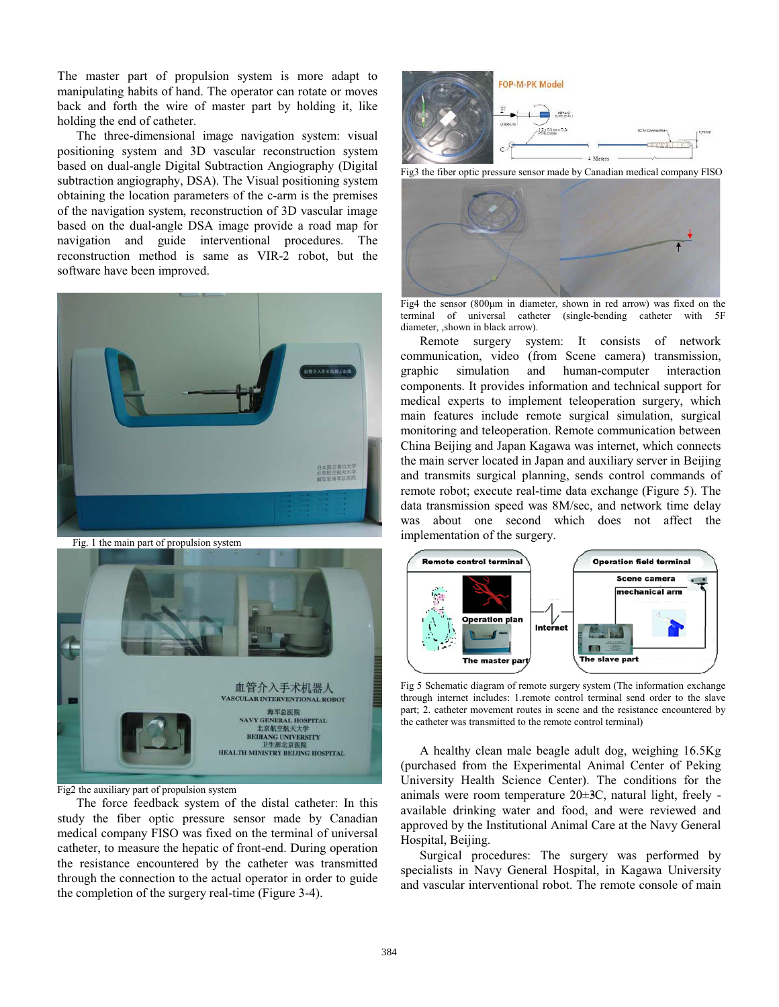The master part of propulsion system is more adapt to manipulating habits of hand. The operator can rotate or moves back and forth the wire of master part by holding it, like holding the end of catheter.

The three-dimensional image navigation system: visual positioning system and 3D vascular reconstruction system based on dual-angle Digital Subtraction Angiography (Digital subtraction angiography, DSA). The Visual positioning system obtaining the location parameters of the c-arm is the premises of the navigation system, reconstruction of 3D vascular image based on the dual-angle DSA image provide a road map for navigation and guide interventional procedures. The reconstruction method is same as VIR-2 robot, but the software have been improved.



Fig. 1 the main part of propulsion system



Fig2 the auxiliary part of propulsion system

The force feedback system of the distal catheter: In this study the fiber optic pressure sensor made by Canadian medical company FISO was fixed on the terminal of universal catheter, to measure the hepatic of front-end. During operation the resistance encountered by the catheter was transmitted through the connection to the actual operator in order to guide the completion of the surgery real-time (Figure 3-4).



Fig3 the fiber optic pressure sensor made by Canadian medical company FISO



Fig4 the sensor  $(800 \mu m)$  in diameter, shown in red arrow) was fixed on the terminal of universal catheter (single-bending catheter with 5F diameter, ,shown in black arrow).

Remote surgery system: It consists of network communication, video (from Scene camera) transmission, graphic simulation and human-computer interaction components. It provides information and technical support for medical experts to implement teleoperation surgery, which main features include remote surgical simulation, surgical monitoring and teleoperation. Remote communication between China Beijing and Japan Kagawa was internet, which connects the main server located in Japan and auxiliary server in Beijing and transmits surgical planning, sends control commands of remote robot; execute real-time data exchange (Figure 5). The data transmission speed was 8M/sec, and network time delay was about one second which does not affect the implementation of the surgery.



Fig 5 Schematic diagram of remote surgery system (The information exchange through internet includes: 1.remote control terminal send order to the slave part; 2. catheter movement routes in scene and the resistance encountered by the catheter was transmitted to the remote control terminal)

A healthy clean male beagle adult dog, weighing 16.5Kg (purchased from the Experimental Animal Center of Peking University Health Science Center). The conditions for the animals were room temperature  $20 \pm 3C$ , natural light, freely available drinking water and food, and were reviewed and approved by the Institutional Animal Care at the Navy General Hospital, Beijing.

Surgical procedures: The surgery was performed by specialists in Navy General Hospital, in Kagawa University and vascular interventional robot. The remote console of main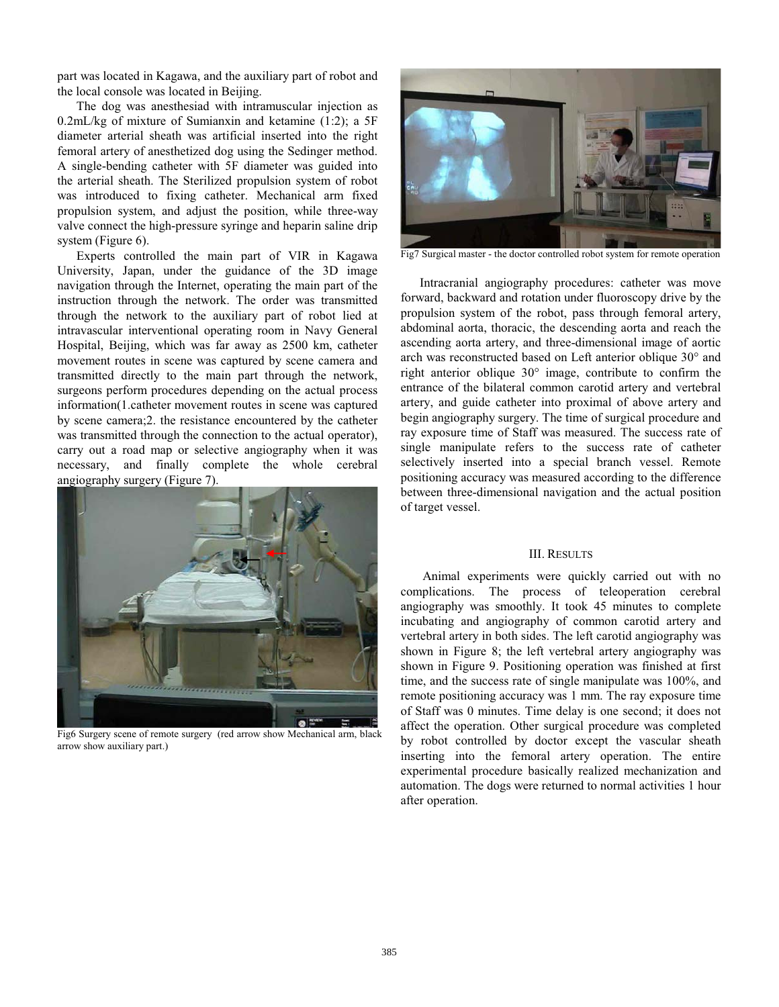part was located in Kagawa, and the auxiliary part of robot and the local console was located in Beijing.

The dog was anesthesiad with intramuscular injection as 0.2mL/kg of mixture of Sumianxin and ketamine (1:2); a 5F diameter arterial sheath was artificial inserted into the right femoral artery of anesthetized dog using the Sedinger method. A single-bending catheter with 5F diameter was guided into the arterial sheath. The Sterilized propulsion system of robot was introduced to fixing catheter. Mechanical arm fixed propulsion system, and adjust the position, while three-way valve connect the high-pressure syringe and heparin saline drip system (Figure 6).

Experts controlled the main part of VIR in Kagawa University, Japan, under the guidance of the 3D image navigation through the Internet, operating the main part of the instruction through the network. The order was transmitted through the network to the auxiliary part of robot lied at intravascular interventional operating room in Navy General Hospital, Beijing, which was far away as 2500 km, catheter movement routes in scene was captured by scene camera and transmitted directly to the main part through the network, surgeons perform procedures depending on the actual process information(1.catheter movement routes in scene was captured by scene camera;2. the resistance encountered by the catheter was transmitted through the connection to the actual operator), carry out a road map or selective angiography when it was necessary, and finally complete the whole cerebral angiography surgery (Figure 7).



Fig6 Surgery scene of remote surgery (red arrow show Mechanical arm, black arrow show auxiliary part.)



Fig7 Surgical master - the doctor controlled robot system for remote operation

Intracranial angiography procedures: catheter was move forward, backward and rotation under fluoroscopy drive by the propulsion system of the robot, pass through femoral artery, abdominal aorta, thoracic, the descending aorta and reach the ascending aorta artery, and three-dimensional image of aortic arch was reconstructed based on Left anterior oblique 30° and right anterior oblique 30° image, contribute to confirm the entrance of the bilateral common carotid artery and vertebral artery, and guide catheter into proximal of above artery and begin angiography surgery. The time of surgical procedure and ray exposure time of Staff was measured. The success rate of single manipulate refers to the success rate of catheter selectively inserted into a special branch vessel. Remote positioning accuracy was measured according to the difference between three-dimensional navigation and the actual position of target vessel.

#### III. RESULTS

Animal experiments were quickly carried out with no complications. The process of teleoperation cerebral angiography was smoothly. It took 45 minutes to complete incubating and angiography of common carotid artery and vertebral artery in both sides. The left carotid angiography was shown in Figure 8; the left vertebral artery angiography was shown in Figure 9. Positioning operation was finished at first time, and the success rate of single manipulate was 100%, and remote positioning accuracy was 1 mm. The ray exposure time of Staff was 0 minutes. Time delay is one second; it does not affect the operation. Other surgical procedure was completed by robot controlled by doctor except the vascular sheath inserting into the femoral artery operation. The entire experimental procedure basically realized mechanization and automation. The dogs were returned to normal activities 1 hour after operation.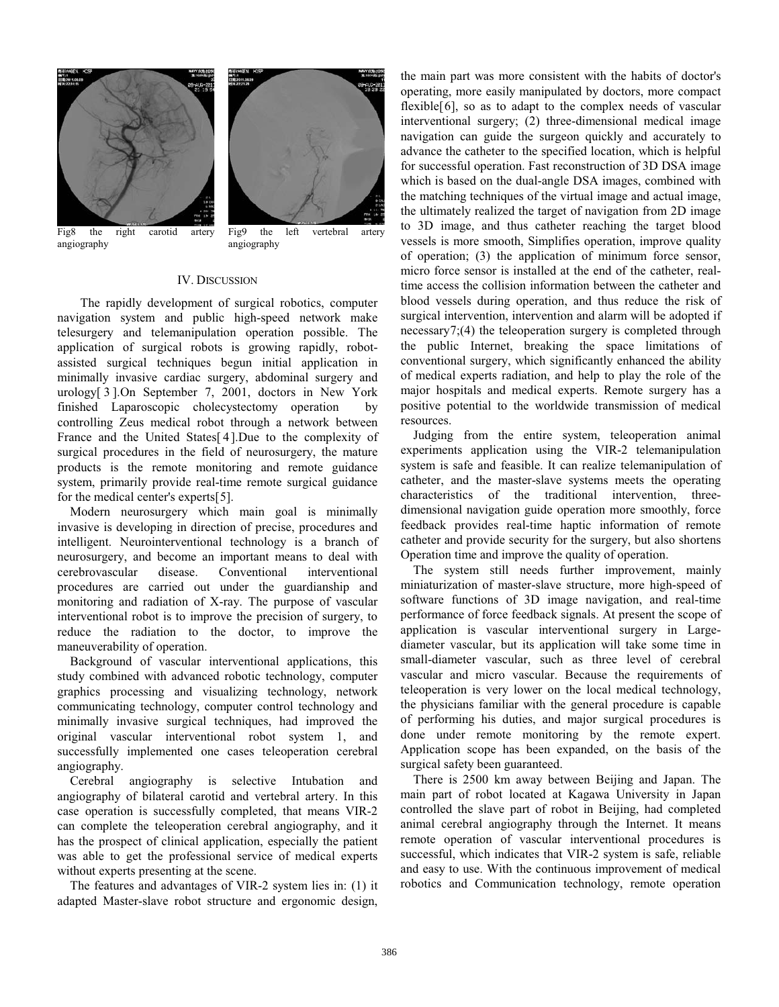



Fig8 the right carotid artery angiography

Fig9 the left vertebral artery angiography

# IV. DISCUSSION

The rapidly development of surgical robotics, computer navigation system and public high-speed network make telesurgery and telemanipulation operation possible. The application of surgical robots is growing rapidly, robotassisted surgical techniques begun initial application in minimally invasive cardiac surgery, abdominal surgery and urology[ 3 ].On September 7, 2001, doctors in New York finished Laparoscopic cholecystectomy operation by controlling Zeus medical robot through a network between France and the United States[ 4].Due to the complexity of surgical procedures in the field of neurosurgery, the mature products is the remote monitoring and remote guidance system, primarily provide real-time remote surgical guidance for the medical center's experts[5 ].

Modern neurosurgery which main goal is minimally invasive is developing in direction of precise, procedures and intelligent. Neurointerventional technology is a branch of neurosurgery, and become an important means to deal with cerebrovascular disease. Conventional interventional procedures are carried out under the guardianship and monitoring and radiation of X-ray. The purpose of vascular interventional robot is to improve the precision of surgery, to reduce the radiation to the doctor, to improve the maneuverability of operation.

Background of vascular interventional applications, this study combined with advanced robotic technology, computer graphics processing and visualizing technology, network communicating technology, computer control technology and minimally invasive surgical techniques, had improved the original vascular interventional robot system 1, and successfully implemented one cases teleoperation cerebral angiography.

Cerebral angiography is selective Intubation and angiography of bilateral carotid and vertebral artery. In this case operation is successfully completed, that means VIR-2 can complete the teleoperation cerebral angiography, and it has the prospect of clinical application, especially the patient was able to get the professional service of medical experts without experts presenting at the scene.

The features and advantages of VIR-2 system lies in: (1) it adapted Master-slave robot structure and ergonomic design,

the main part was more consistent with the habits of doctor's operating, more easily manipulated by doctors, more compact flexible[6], so as to adapt to the complex needs of vascular interventional surgery; (2) three-dimensional medical image navigation can guide the surgeon quickly and accurately to advance the catheter to the specified location, which is helpful for successful operation. Fast reconstruction of 3D DSA image which is based on the dual-angle DSA images, combined with the matching techniques of the virtual image and actual image, the ultimately realized the target of navigation from 2D image to 3D image, and thus catheter reaching the target blood vessels is more smooth, Simplifies operation, improve quality of operation; (3) the application of minimum force sensor, micro force sensor is installed at the end of the catheter, realtime access the collision information between the catheter and blood vessels during operation, and thus reduce the risk of surgical intervention, intervention and alarm will be adopted if necessary7 ;(4) the teleoperation surgery is completed through the public Internet, breaking the space limitations of conventional surgery, which significantly enhanced the ability of medical experts radiation, and help to play the role of the major hospitals and medical experts. Remote surgery has a positive potential to the worldwide transmission of medical resources.

Judging from the entire system, teleoperation animal experiments application using the VIR-2 telemanipulation system is safe and feasible. It can realize telemanipulation of catheter, and the master-slave systems meets the operating characteristics of the traditional intervention, threedimensional navigation guide operation more smoothly, force feedback provides real-time haptic information of remote catheter and provide security for the surgery, but also shortens Operation time and improve the quality of operation.

The system still needs further improvement, mainly miniaturization of master-slave structure, more high-speed of software functions of 3D image navigation, and real-time performance of force feedback signals. At present the scope of application is vascular interventional surgery in Largediameter vascular, but its application will take some time in small-diameter vascular, such as three level of cerebral vascular and micro vascular. Because the requirements of teleoperation is very lower on the local medical technology, the physicians familiar with the general procedure is capable of performing his duties, and major surgical procedures is done under remote monitoring by the remote expert. Application scope has been expanded, on the basis of the surgical safety been guaranteed.

There is 2500 km away between Beijing and Japan. The main part of robot located at Kagawa University in Japan controlled the slave part of robot in Beijing, had completed animal cerebral angiography through the Internet. It means remote operation of vascular interventional procedures is successful, which indicates that VIR-2 system is safe, reliable and easy to use. With the continuous improvement of medical robotics and Communication technology, remote operation